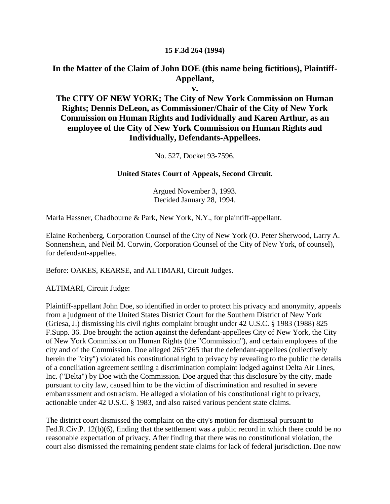#### **15 F.3d 264 (1994)**

#### **In the Matter of the Claim of John DOE (this name being fictitious), Plaintiff-Appellant,**

**v.**

#### **The CITY OF NEW YORK; The City of New York Commission on Human Rights; Dennis DeLeon, as Commissioner/Chair of the City of New York Commission on Human Rights and Individually and Karen Arthur, as an employee of the City of New York Commission on Human Rights and Individually, Defendants-Appellees.**

No. 527, Docket 93-7596.

#### **United States Court of Appeals, Second Circuit.**

Argued November 3, 1993. Decided January 28, 1994.

Marla Hassner, Chadbourne & Park, New York, N.Y., for plaintiff-appellant.

Elaine Rothenberg, Corporation Counsel of the City of New York (O. Peter Sherwood, Larry A. Sonnenshein, and Neil M. Corwin, Corporation Counsel of the City of New York, of counsel), for defendant-appellee.

Before: OAKES, KEARSE, and ALTIMARI, Circuit Judges.

ALTIMARI, Circuit Judge:

Plaintiff-appellant John Doe, so identified in order to protect his privacy and anonymity, appeals from a judgment of the United States District Court for the Southern District of New York (Griesa, J.) dismissing his civil rights complaint brought under 42 U.S.C. § 1983 (1988) 825 F.Supp. 36. Doe brought the action against the defendant-appellees City of New York, the City of New York Commission on Human Rights (the "Commission"), and certain employees of the city and of the Commission. Doe alleged 265\*265 that the defendant-appellees (collectively herein the "city") violated his constitutional right to privacy by revealing to the public the details of a conciliation agreement settling a discrimination complaint lodged against Delta Air Lines, Inc. ("Delta") by Doe with the Commission. Doe argued that this disclosure by the city, made pursuant to city law, caused him to be the victim of discrimination and resulted in severe embarrassment and ostracism. He alleged a violation of his constitutional right to privacy, actionable under 42 U.S.C. § 1983, and also raised various pendent state claims.

The district court dismissed the complaint on the city's motion for dismissal pursuant to Fed.R.Civ.P. 12(b)(6), finding that the settlement was a public record in which there could be no reasonable expectation of privacy. After finding that there was no constitutional violation, the court also dismissed the remaining pendent state claims for lack of federal jurisdiction. Doe now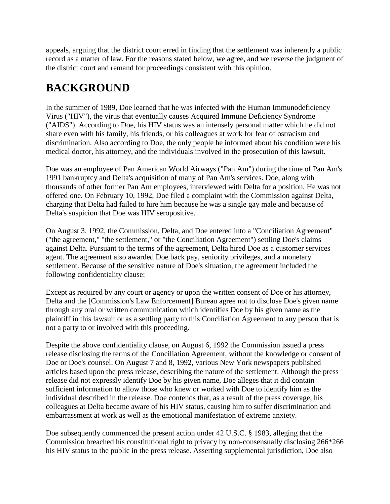appeals, arguing that the district court erred in finding that the settlement was inherently a public record as a matter of law. For the reasons stated below, we agree, and we reverse the judgment of the district court and remand for proceedings consistent with this opinion.

# **BACKGROUND**

In the summer of 1989, Doe learned that he was infected with the Human Immunodeficiency Virus ("HIV"), the virus that eventually causes Acquired Immune Deficiency Syndrome ("AIDS"). According to Doe, his HIV status was an intensely personal matter which he did not share even with his family, his friends, or his colleagues at work for fear of ostracism and discrimination. Also according to Doe, the only people he informed about his condition were his medical doctor, his attorney, and the individuals involved in the prosecution of this lawsuit.

Doe was an employee of Pan American World Airways ("Pan Am") during the time of Pan Am's 1991 bankruptcy and Delta's acquisition of many of Pan Am's services. Doe, along with thousands of other former Pan Am employees, interviewed with Delta for a position. He was not offered one. On February 10, 1992, Doe filed a complaint with the Commission against Delta, charging that Delta had failed to hire him because he was a single gay male and because of Delta's suspicion that Doe was HIV seropositive.

On August 3, 1992, the Commission, Delta, and Doe entered into a "Conciliation Agreement" ("the agreement," "the settlement," or "the Conciliation Agreement") settling Doe's claims against Delta. Pursuant to the terms of the agreement, Delta hired Doe as a customer services agent. The agreement also awarded Doe back pay, seniority privileges, and a monetary settlement. Because of the sensitive nature of Doe's situation, the agreement included the following confidentiality clause:

Except as required by any court or agency or upon the written consent of Doe or his attorney, Delta and the [Commission's Law Enforcement] Bureau agree not to disclose Doe's given name through any oral or written communication which identifies Doe by his given name as the plaintiff in this lawsuit or as a settling party to this Conciliation Agreement to any person that is not a party to or involved with this proceeding.

Despite the above confidentiality clause, on August 6, 1992 the Commission issued a press release disclosing the terms of the Conciliation Agreement, without the knowledge or consent of Doe or Doe's counsel. On August 7 and 8, 1992, various New York newspapers published articles based upon the press release, describing the nature of the settlement. Although the press release did not expressly identify Doe by his given name, Doe alleges that it did contain sufficient information to allow those who knew or worked with Doe to identify him as the individual described in the release. Doe contends that, as a result of the press coverage, his colleagues at Delta became aware of his HIV status, causing him to suffer discrimination and embarrassment at work as well as the emotional manifestation of extreme anxiety.

Doe subsequently commenced the present action under 42 U.S.C. § 1983, alleging that the Commission breached his constitutional right to privacy by non-consensually disclosing 266\*266 his HIV status to the public in the press release. Asserting supplemental jurisdiction, Doe also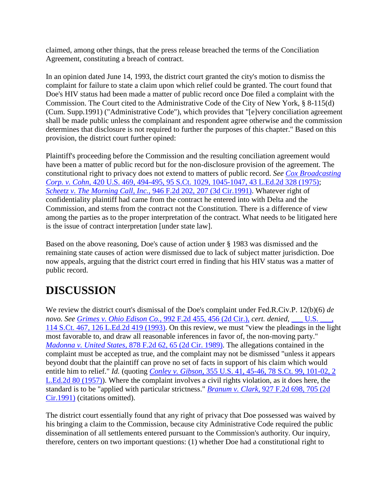claimed, among other things, that the press release breached the terms of the Conciliation Agreement, constituting a breach of contract.

In an opinion dated June 14, 1993, the district court granted the city's motion to dismiss the complaint for failure to state a claim upon which relief could be granted. The court found that Doe's HIV status had been made a matter of public record once Doe filed a complaint with the Commission. The Court cited to the Administrative Code of the City of New York, § 8-115(d) (Cum. Supp.1991) ("Administrative Code"), which provides that "[e]very conciliation agreement shall be made public unless the complainant and respondent agree otherwise and the commission determines that disclosure is not required to further the purposes of this chapter." Based on this provision, the district court further opined:

Plaintiff's proceeding before the Commission and the resulting conciliation agreement would have been a matter of public record but for the non-disclosure provision of the agreement. The constitutional right to privacy does not extend to matters of public record. *See [Cox Broadcasting](http://scholar.google.co.in/scholar_case?case=7693360934058091897&hl=en&as_sdt=2,5&as_vis=1)  Corp. v. Cohn,* [420 U.S. 469, 494-495, 95 S.Ct. 1029, 1045-1047, 43 L.Ed.2d 328 \(1975\);](http://scholar.google.co.in/scholar_case?case=7693360934058091897&hl=en&as_sdt=2,5&as_vis=1) *[Scheetz v. The Morning Call, Inc.,](http://scholar.google.co.in/scholar_case?case=6914152019241574999&hl=en&as_sdt=2,5&as_vis=1)* 946 F.2d 202, 207 (3d Cir.1991). Whatever right of confidentiality plaintiff had came from the contract he entered into with Delta and the Commission, and stems from the contract not the Constitution. There is a difference of view among the parties as to the proper interpretation of the contract. What needs to be litigated here is the issue of contract interpretation [under state law].

Based on the above reasoning, Doe's cause of action under § 1983 was dismissed and the remaining state causes of action were dismissed due to lack of subject matter jurisdiction. Doe now appeals, arguing that the district court erred in finding that his HIV status was a matter of public record.

# **DISCUSSION**

We review the district court's dismissal of the Doe's complaint under Fed.R.Civ.P. 12(b)(6) *de novo. See [Grimes v. Ohio Edison Co.,](http://scholar.google.co.in/scholar_case?case=9026518115397427363&hl=en&as_sdt=2,5&as_vis=1)* 992 F.2d 455, 456 (2d Cir.), *cert. denied,* [\\_\\_\\_ U.S. \\_\\_\\_,](http://scholar.google.co.in/scholar_case?about=9755718745240672975&hl=en&as_sdt=2,5&as_vis=1)  [114 S.Ct. 467, 126 L.Ed.2d 419 \(1993\).](http://scholar.google.co.in/scholar_case?about=9755718745240672975&hl=en&as_sdt=2,5&as_vis=1) On this review, we must "view the pleadings in the light most favorable to, and draw all reasonable inferences in favor of, the non-moving party." *Madonna v. United States,* [878 F.2d 62, 65 \(2d Cir. 1989\).](http://scholar.google.co.in/scholar_case?case=4097462233997826066&hl=en&as_sdt=2,5&as_vis=1) The allegations contained in the complaint must be accepted as true, and the complaint may not be dismissed "unless it appears beyond doubt that the plaintiff can prove no set of facts in support of his claim which would entitle him to relief." *Id.* (quoting *Conley v. Gibson,* [355 U.S. 41, 45-46, 78 S.Ct. 99, 101-02, 2](http://scholar.google.co.in/scholar_case?case=5949222378996838661&hl=en&as_sdt=2,5&as_vis=1)  [L.Ed.2d 80 \(1957\)\)](http://scholar.google.co.in/scholar_case?case=5949222378996838661&hl=en&as_sdt=2,5&as_vis=1). Where the complaint involves a civil rights violation, as it does here, the standard is to be "applied with particular strictness." *Branum v. Clark,* [927 F.2d 698, 705 \(2d](http://scholar.google.co.in/scholar_case?case=11392713746612299140&hl=en&as_sdt=2,5&as_vis=1)  [Cir.1991\)](http://scholar.google.co.in/scholar_case?case=11392713746612299140&hl=en&as_sdt=2,5&as_vis=1) (citations omitted).

The district court essentially found that any right of privacy that Doe possessed was waived by his bringing a claim to the Commission, because city Administrative Code required the public dissemination of all settlements entered pursuant to the Commission's authority. Our inquiry, therefore, centers on two important questions: (1) whether Doe had a constitutional right to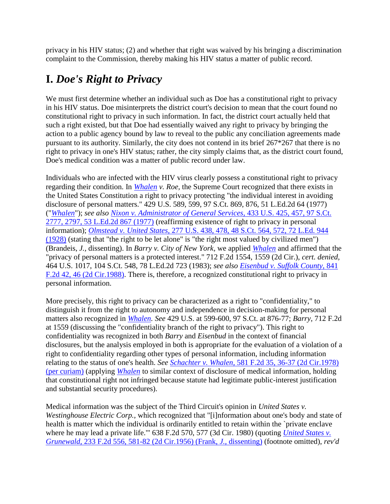privacy in his HIV status; (2) and whether that right was waived by his bringing a discrimination complaint to the Commission, thereby making his HIV status a matter of public record.

### **I.** *Doe's Right to Privacy*

We must first determine whether an individual such as Doe has a constitutional right to privacy in his HIV status. Doe misinterprets the district court's decision to mean that the court found no constitutional right to privacy in such information. In fact, the district court actually held that such a right existed, but that Doe had essentially waived any right to privacy by bringing the action to a public agency bound by law to reveal to the public any conciliation agreements made pursuant to its authority. Similarly, the city does not contend in its brief 267\*267 that there is no right to privacy in one's HIV status; rather, the city simply claims that, as the district court found, Doe's medical condition was a matter of public record under law.

Individuals who are infected with the HIV virus clearly possess a constitutional right to privacy regarding their condition. In *[Whalen](http://scholar.google.co.in/scholar_case?case=7804584928645912923&hl=en&as_sdt=2,5&as_vis=1) v. Roe,* the Supreme Court recognized that there exists in the United States Constitution a right to privacy protecting "the individual interest in avoiding disclosure of personal matters." 429 U.S. 589, 599, 97 S.Ct. 869, 876, 51 L.Ed.2d 64 (1977) ("*[Whalen](http://scholar.google.co.in/scholar_case?case=7804584928645912923&hl=en&as_sdt=2,5&as_vis=1)*"); *see also [Nixon v. Administrator of General Services,](http://scholar.google.co.in/scholar_case?case=11884364268460571560&hl=en&as_sdt=2,5&as_vis=1)* 433 U.S. 425, 457, 97 S.Ct. [2777, 2797, 53 L.Ed.2d 867 \(1977\)](http://scholar.google.co.in/scholar_case?case=11884364268460571560&hl=en&as_sdt=2,5&as_vis=1) (reaffirming existence of right to privacy in personal information); *Olmstead v. United States,* [277 U.S. 438, 478, 48 S.Ct. 564, 572, 72 L.Ed. 944](http://scholar.google.co.in/scholar_case?case=5577544660194763070&hl=en&as_sdt=2,5&as_vis=1)  [\(1928\)](http://scholar.google.co.in/scholar_case?case=5577544660194763070&hl=en&as_sdt=2,5&as_vis=1) (stating that "the right to be let alone" is "the right most valued by civilized men") (Brandeis, *J.,* dissenting). In *Barry v. City of New York,* we applied *[Whalen](http://scholar.google.co.in/scholar_case?case=7804584928645912923&hl=en&as_sdt=2,5&as_vis=1)* and affirmed that the "privacy of personal matters is a protected interest." 712 F.2d 1554, 1559 (2d Cir.), *cert. denied,* 464 U.S. 1017, 104 S.Ct. 548, 78 L.Ed.2d 723 (1983); *see also [Eisenbud v. Suffolk County,](http://scholar.google.co.in/scholar_case?case=1352253291088815231&hl=en&as_sdt=2,5&as_vis=1)* 841 [F.2d 42, 46 \(2d Cir.1988\).](http://scholar.google.co.in/scholar_case?case=1352253291088815231&hl=en&as_sdt=2,5&as_vis=1) There is, therefore, a recognized constitutional right to privacy in personal information.

More precisely, this right to privacy can be characterized as a right to "confidentiality," to distinguish it from the right to autonomy and independence in decision-making for personal matters also recognized in *[Whalen.](http://scholar.google.co.in/scholar_case?case=7804584928645912923&hl=en&as_sdt=2,5&as_vis=1) See* 429 U.S. at 599-600, 97 S.Ct. at 876-77; *Barry,* 712 F.2d at 1559 (discussing the "confidentiality branch of the right to privacy"). This right to confidentiality was recognized in both *Barry* and *Eisenbud* in the context of financial disclosures, but the analysis employed in both is appropriate for the evaluation of a violation of a right to confidentiality regarding other types of personal information, including information relating to the status of one's health. *See Schachter v. Whalen,* [581 F.2d 35, 36-37 \(2d Cir.1978\)](http://scholar.google.co.in/scholar_case?case=7804584928645912923&hl=en&as_sdt=2,5&as_vis=1)  [\(per curiam\)](http://scholar.google.co.in/scholar_case?case=7804584928645912923&hl=en&as_sdt=2,5&as_vis=1) (applying *[Whalen](http://scholar.google.co.in/scholar_case?case=7804584928645912923&hl=en&as_sdt=2,5&as_vis=1)* to similar context of disclosure of medical information, holding that constitutional right not infringed because statute had legitimate public-interest justification and substantial security procedures).

Medical information was the subject of the Third Circuit's opinion in *United States v. Westinghouse Electric Corp.,* which recognized that "[i]nformation about one's body and state of health is matter which the individual is ordinarily entitled to retain within the `private enclave where he may lead a private life.'" 638 F.2d 570, 577 (3d Cir. 1980) (quoting *[United States v.](http://scholar.google.co.in/scholar_case?case=9095586784307505249&hl=en&as_sdt=2,5&as_vis=1)  Grunewald,* [233 F.2d 556, 581-82 \(2d Cir.1956\) \(Frank,](http://scholar.google.co.in/scholar_case?case=9095586784307505249&hl=en&as_sdt=2,5&as_vis=1) *J.,* dissenting) (footnote omitted), *rev'd*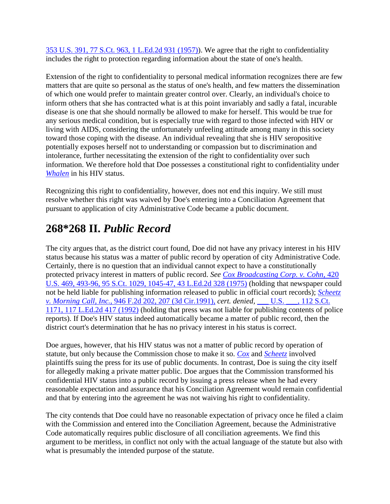[353 U.S. 391, 77 S.Ct. 963, 1 L.Ed.2d 931 \(1957\)\)](http://scholar.google.co.in/scholar_case?case=16164097857918570388&hl=en&as_sdt=2,5&as_vis=1). We agree that the right to confidentiality includes the right to protection regarding information about the state of one's health.

Extension of the right to confidentiality to personal medical information recognizes there are few matters that are quite so personal as the status of one's health, and few matters the dissemination of which one would prefer to maintain greater control over. Clearly, an individual's choice to inform others that she has contracted what is at this point invariably and sadly a fatal, incurable disease is one that she should normally be allowed to make for herself. This would be true for any serious medical condition, but is especially true with regard to those infected with HIV or living with AIDS, considering the unfortunately unfeeling attitude among many in this society toward those coping with the disease. An individual revealing that she is HIV seropositive potentially exposes herself not to understanding or compassion but to discrimination and intolerance, further necessitating the extension of the right to confidentiality over such information. We therefore hold that Doe possesses a constitutional right to confidentiality under *[Whalen](http://scholar.google.co.in/scholar_case?case=7804584928645912923&hl=en&as_sdt=2,5&as_vis=1)* in his HIV status.

Recognizing this right to confidentiality, however, does not end this inquiry. We still must resolve whether this right was waived by Doe's entering into a Conciliation Agreement that pursuant to application of city Administrative Code became a public document.

# **268\*268 II.** *Public Record*

The city argues that, as the district court found, Doe did not have any privacy interest in his HIV status because his status was a matter of public record by operation of city Administrative Code. Certainly, there is no question that an individual cannot expect to have a constitutionally protected privacy interest in matters of public record. *See [Cox Broadcasting Corp. v. Cohn,](http://scholar.google.co.in/scholar_case?case=7693360934058091897&hl=en&as_sdt=2,5&as_vis=1)* 420 [U.S. 469, 493-96, 95 S.Ct. 1029, 1045-47, 43 L.Ed.2d 328 \(1975\)](http://scholar.google.co.in/scholar_case?case=7693360934058091897&hl=en&as_sdt=2,5&as_vis=1) (holding that newspaper could not be held liable for publishing information released to public in official court records); *[Scheetz](http://scholar.google.co.in/scholar_case?case=6914152019241574999&hl=en&as_sdt=2,5&as_vis=1)  v. Morning Call, Inc.,* [946 F.2d 202, 207 \(3d Cir.1991\),](http://scholar.google.co.in/scholar_case?case=6914152019241574999&hl=en&as_sdt=2,5&as_vis=1) *cert. denied,* [\\_\\_\\_ U.S. \\_\\_\\_, 112 S.Ct.](http://scholar.google.co.in/scholar_case?about=9483485012720000643&hl=en&as_sdt=2,5&as_vis=1)  [1171, 117 L.Ed.2d 417 \(1992\)](http://scholar.google.co.in/scholar_case?about=9483485012720000643&hl=en&as_sdt=2,5&as_vis=1) (holding that press was not liable for publishing contents of police reports). If Doe's HIV status indeed automatically became a matter of public record, then the district court's determination that he has no privacy interest in his status is correct.

Doe argues, however, that his HIV status was not a matter of public record by operation of statute, but only because the Commission chose to make it so. *[Cox](http://scholar.google.co.in/scholar_case?case=7693360934058091897&hl=en&as_sdt=2,5&as_vis=1)* and *[Scheetz](http://scholar.google.co.in/scholar_case?case=6914152019241574999&hl=en&as_sdt=2,5&as_vis=1)* involved plaintiffs suing the press for its use of public documents. In contrast, Doe is suing the city itself for allegedly making a private matter public. Doe argues that the Commission transformed his confidential HIV status into a public record by issuing a press release when he had every reasonable expectation and assurance that his Conciliation Agreement would remain confidential and that by entering into the agreement he was not waiving his right to confidentiality.

The city contends that Doe could have no reasonable expectation of privacy once he filed a claim with the Commission and entered into the Conciliation Agreement, because the Administrative Code automatically requires public disclosure of all conciliation agreements. We find this argument to be meritless, in conflict not only with the actual language of the statute but also with what is presumably the intended purpose of the statute.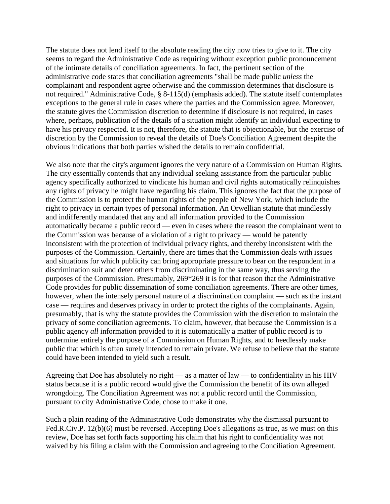The statute does not lend itself to the absolute reading the city now tries to give to it. The city seems to regard the Administrative Code as requiring without exception public pronouncement of the intimate details of conciliation agreements. In fact, the pertinent section of the administrative code states that conciliation agreements "shall be made public *unless* the complainant and respondent agree otherwise and the commission determines that disclosure is not required." Administrative Code, § 8-115(d) (emphasis added). The statute itself contemplates exceptions to the general rule in cases where the parties and the Commission agree. Moreover, the statute gives the Commission discretion to determine if disclosure is not required, in cases where, perhaps, publication of the details of a situation might identify an individual expecting to have his privacy respected. It is not, therefore, the statute that is objectionable, but the exercise of discretion by the Commission to reveal the details of Doe's Conciliation Agreement despite the obvious indications that both parties wished the details to remain confidential.

We also note that the city's argument ignores the very nature of a Commission on Human Rights. The city essentially contends that any individual seeking assistance from the particular public agency specifically authorized to vindicate his human and civil rights automatically relinquishes any rights of privacy he might have regarding his claim. This ignores the fact that the purpose of the Commission is to protect the human rights of the people of New York, which include the right to privacy in certain types of personal information. An Orwellian statute that mindlessly and indifferently mandated that any and all information provided to the Commission automatically became a public record — even in cases where the reason the complainant went to the Commission was because of a violation of a right to privacy — would be patently inconsistent with the protection of individual privacy rights, and thereby inconsistent with the purposes of the Commission. Certainly, there are times that the Commission deals with issues and situations for which publicity can bring appropriate pressure to bear on the respondent in a discrimination suit and deter others from discriminating in the same way, thus serving the purposes of the Commission. Presumably, 269\*269 it is for that reason that the Administrative Code provides for public dissemination of some conciliation agreements. There are other times, however, when the intensely personal nature of a discrimination complaint — such as the instant case — requires and deserves privacy in order to protect the rights of the complainants. Again, presumably, that is why the statute provides the Commission with the discretion to maintain the privacy of some conciliation agreements. To claim, however, that because the Commission is a public agency *all* information provided to it is automatically a matter of public record is to undermine entirely the purpose of a Commission on Human Rights, and to heedlessly make public that which is often surely intended to remain private. We refuse to believe that the statute could have been intended to yield such a result.

Agreeing that Doe has absolutely no right — as a matter of law — to confidentiality in his HIV status because it is a public record would give the Commission the benefit of its own alleged wrongdoing. The Conciliation Agreement was not a public record until the Commission, pursuant to city Administrative Code, chose to make it one.

Such a plain reading of the Administrative Code demonstrates why the dismissal pursuant to Fed.R.Civ.P. 12(b)(6) must be reversed. Accepting Doe's allegations as true, as we must on this review, Doe has set forth facts supporting his claim that his right to confidentiality was not waived by his filing a claim with the Commission and agreeing to the Conciliation Agreement.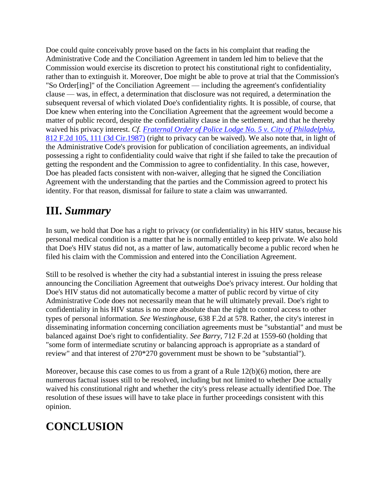Doe could quite conceivably prove based on the facts in his complaint that reading the Administrative Code and the Conciliation Agreement in tandem led him to believe that the Commission would exercise its discretion to protect his constitutional right to confidentiality, rather than to extinguish it. Moreover, Doe might be able to prove at trial that the Commission's "So Order[ing]" of the Conciliation Agreement — including the agreement's confidentiality clause — was, in effect, a determination that disclosure was not required, a determination the subsequent reversal of which violated Doe's confidentiality rights. It is possible, of course, that Doe knew when entering into the Conciliation Agreement that the agreement would become a matter of public record, despite the confidentiality clause in the settlement, and that he thereby waived his privacy interest. *Cf. [Fraternal Order of Police Lodge No. 5 v. City of Philadelphia,](http://scholar.google.co.in/scholar_case?case=12444027463943179437&hl=en&as_sdt=2,5&as_vis=1)* [812 F.2d 105, 111 \(3d Cir.1987\)](http://scholar.google.co.in/scholar_case?case=12444027463943179437&hl=en&as_sdt=2,5&as_vis=1) (right to privacy can be waived). We also note that, in light of the Administrative Code's provision for publication of conciliation agreements, an individual possessing a right to confidentiality could waive that right if she failed to take the precaution of getting the respondent and the Commission to agree to confidentiality. In this case, however, Doe has pleaded facts consistent with non-waiver, alleging that he signed the Conciliation Agreement with the understanding that the parties and the Commission agreed to protect his identity. For that reason, dismissal for failure to state a claim was unwarranted.

### **III.** *Summary*

In sum, we hold that Doe has a right to privacy (or confidentiality) in his HIV status, because his personal medical condition is a matter that he is normally entitled to keep private. We also hold that Doe's HIV status did not, as a matter of law, automatically become a public record when he filed his claim with the Commission and entered into the Conciliation Agreement.

Still to be resolved is whether the city had a substantial interest in issuing the press release announcing the Conciliation Agreement that outweighs Doe's privacy interest. Our holding that Doe's HIV status did not automatically become a matter of public record by virtue of city Administrative Code does not necessarily mean that he will ultimately prevail. Doe's right to confidentiality in his HIV status is no more absolute than the right to control access to other types of personal information. *See Westinghouse,* 638 F.2d at 578. Rather, the city's interest in disseminating information concerning conciliation agreements must be "substantial" and must be balanced against Doe's right to confidentiality. *See Barry,* 712 F.2d at 1559-60 (holding that "some form of intermediate scrutiny or balancing approach is appropriate as a standard of review" and that interest of 270\*270 government must be shown to be "substantial").

Moreover, because this case comes to us from a grant of a Rule 12(b)(6) motion, there are numerous factual issues still to be resolved, including but not limited to whether Doe actually waived his constitutional right and whether the city's press release actually identified Doe. The resolution of these issues will have to take place in further proceedings consistent with this opinion.

# **CONCLUSION**